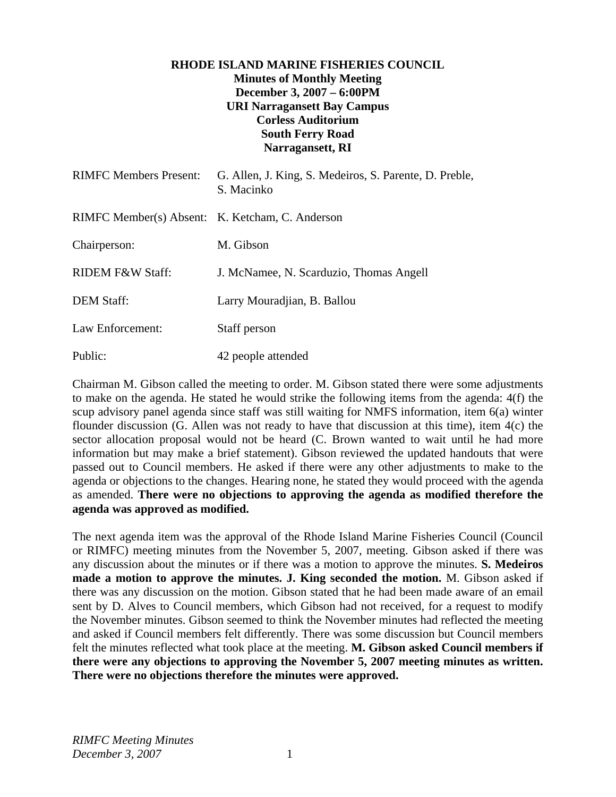# **RHODE ISLAND MARINE FISHERIES COUNCIL Minutes of Monthly Meeting December 3, 2007 – 6:00PM URI Narragansett Bay Campus Corless Auditorium South Ferry Road Narragansett, RI**

| <b>RIMFC Members Present:</b>                   | G. Allen, J. King, S. Medeiros, S. Parente, D. Preble,<br>S. Macinko |
|-------------------------------------------------|----------------------------------------------------------------------|
| RIMFC Member(s) Absent: K. Ketcham, C. Anderson |                                                                      |
| Chairperson:                                    | M. Gibson                                                            |
| <b>RIDEM F&amp;W Staff:</b>                     | J. McNamee, N. Scarduzio, Thomas Angell                              |
| <b>DEM Staff:</b>                               | Larry Mouradjian, B. Ballou                                          |
| Law Enforcement:                                | Staff person                                                         |
| Public:                                         | 42 people attended                                                   |

Chairman M. Gibson called the meeting to order. M. Gibson stated there were some adjustments to make on the agenda. He stated he would strike the following items from the agenda: 4(f) the scup advisory panel agenda since staff was still waiting for NMFS information, item 6(a) winter flounder discussion (G. Allen was not ready to have that discussion at this time), item 4(c) the sector allocation proposal would not be heard (C. Brown wanted to wait until he had more information but may make a brief statement). Gibson reviewed the updated handouts that were passed out to Council members. He asked if there were any other adjustments to make to the agenda or objections to the changes. Hearing none, he stated they would proceed with the agenda as amended. **There were no objections to approving the agenda as modified therefore the agenda was approved as modified.**

The next agenda item was the approval of the Rhode Island Marine Fisheries Council (Council or RIMFC) meeting minutes from the November 5, 2007, meeting. Gibson asked if there was any discussion about the minutes or if there was a motion to approve the minutes. **S. Medeiros made a motion to approve the minutes. J. King seconded the motion.** M. Gibson asked if there was any discussion on the motion. Gibson stated that he had been made aware of an email sent by D. Alves to Council members, which Gibson had not received, for a request to modify the November minutes. Gibson seemed to think the November minutes had reflected the meeting and asked if Council members felt differently. There was some discussion but Council members felt the minutes reflected what took place at the meeting. **M. Gibson asked Council members if there were any objections to approving the November 5, 2007 meeting minutes as written. There were no objections therefore the minutes were approved.**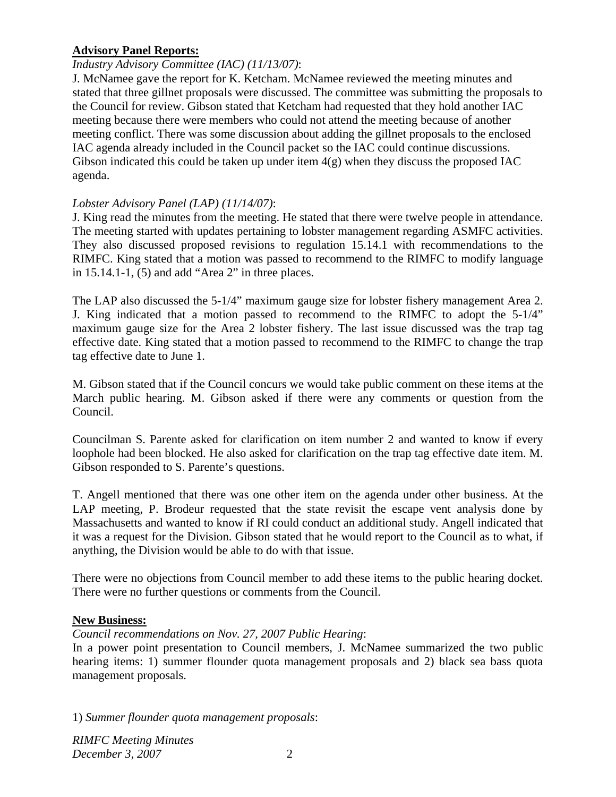### **Advisory Panel Reports:**

### *Industry Advisory Committee (IAC) (11/13/07)*:

J. McNamee gave the report for K. Ketcham. McNamee reviewed the meeting minutes and stated that three gillnet proposals were discussed. The committee was submitting the proposals to the Council for review. Gibson stated that Ketcham had requested that they hold another IAC meeting because there were members who could not attend the meeting because of another meeting conflict. There was some discussion about adding the gillnet proposals to the enclosed IAC agenda already included in the Council packet so the IAC could continue discussions. Gibson indicated this could be taken up under item  $4(g)$  when they discuss the proposed IAC agenda.

### *Lobster Advisory Panel (LAP) (11/14/07)*:

J. King read the minutes from the meeting. He stated that there were twelve people in attendance. The meeting started with updates pertaining to lobster management regarding ASMFC activities. They also discussed proposed revisions to regulation 15.14.1 with recommendations to the RIMFC. King stated that a motion was passed to recommend to the RIMFC to modify language in 15.14.1-1, (5) and add "Area 2" in three places.

The LAP also discussed the 5-1/4" maximum gauge size for lobster fishery management Area 2. J. King indicated that a motion passed to recommend to the RIMFC to adopt the 5-1/4" maximum gauge size for the Area 2 lobster fishery. The last issue discussed was the trap tag effective date. King stated that a motion passed to recommend to the RIMFC to change the trap tag effective date to June 1.

M. Gibson stated that if the Council concurs we would take public comment on these items at the March public hearing. M. Gibson asked if there were any comments or question from the Council.

Councilman S. Parente asked for clarification on item number 2 and wanted to know if every loophole had been blocked. He also asked for clarification on the trap tag effective date item. M. Gibson responded to S. Parente's questions.

T. Angell mentioned that there was one other item on the agenda under other business. At the LAP meeting, P. Brodeur requested that the state revisit the escape vent analysis done by Massachusetts and wanted to know if RI could conduct an additional study. Angell indicated that it was a request for the Division. Gibson stated that he would report to the Council as to what, if anything, the Division would be able to do with that issue.

There were no objections from Council member to add these items to the public hearing docket. There were no further questions or comments from the Council.

#### **New Business:**

#### *Council recommendations on Nov. 27, 2007 Public Hearing*:

In a power point presentation to Council members, J. McNamee summarized the two public hearing items: 1) summer flounder quota management proposals and 2) black sea bass quota management proposals.

1) *Summer flounder quota management proposals*:

*RIMFC Meeting Minutes December 3, 2007* 2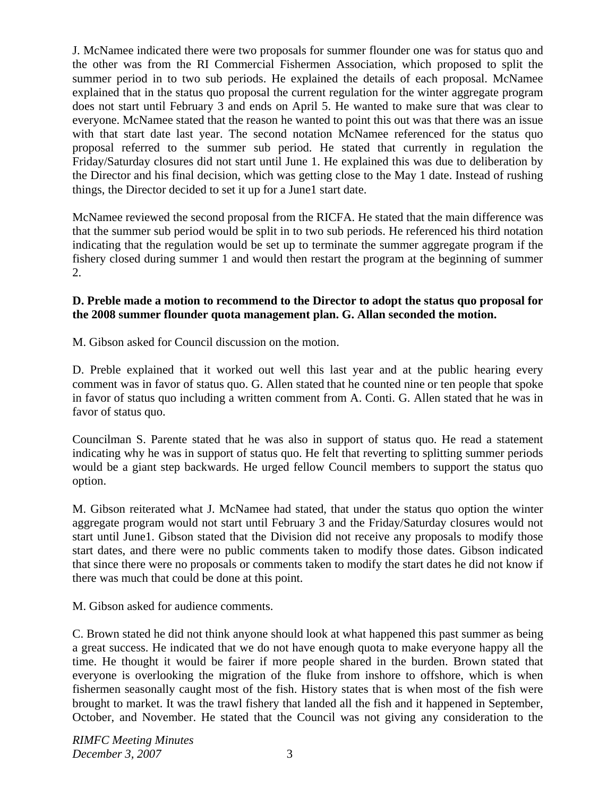J. McNamee indicated there were two proposals for summer flounder one was for status quo and the other was from the RI Commercial Fishermen Association, which proposed to split the summer period in to two sub periods. He explained the details of each proposal. McNamee explained that in the status quo proposal the current regulation for the winter aggregate program does not start until February 3 and ends on April 5. He wanted to make sure that was clear to everyone. McNamee stated that the reason he wanted to point this out was that there was an issue with that start date last year. The second notation McNamee referenced for the status quo proposal referred to the summer sub period. He stated that currently in regulation the Friday/Saturday closures did not start until June 1. He explained this was due to deliberation by the Director and his final decision, which was getting close to the May 1 date. Instead of rushing things, the Director decided to set it up for a June1 start date.

McNamee reviewed the second proposal from the RICFA. He stated that the main difference was that the summer sub period would be split in to two sub periods. He referenced his third notation indicating that the regulation would be set up to terminate the summer aggregate program if the fishery closed during summer 1 and would then restart the program at the beginning of summer 2.

## **D. Preble made a motion to recommend to the Director to adopt the status quo proposal for the 2008 summer flounder quota management plan. G. Allan seconded the motion.**

M. Gibson asked for Council discussion on the motion.

D. Preble explained that it worked out well this last year and at the public hearing every comment was in favor of status quo. G. Allen stated that he counted nine or ten people that spoke in favor of status quo including a written comment from A. Conti. G. Allen stated that he was in favor of status quo.

Councilman S. Parente stated that he was also in support of status quo. He read a statement indicating why he was in support of status quo. He felt that reverting to splitting summer periods would be a giant step backwards. He urged fellow Council members to support the status quo option.

M. Gibson reiterated what J. McNamee had stated, that under the status quo option the winter aggregate program would not start until February 3 and the Friday/Saturday closures would not start until June1. Gibson stated that the Division did not receive any proposals to modify those start dates, and there were no public comments taken to modify those dates. Gibson indicated that since there were no proposals or comments taken to modify the start dates he did not know if there was much that could be done at this point.

M. Gibson asked for audience comments.

C. Brown stated he did not think anyone should look at what happened this past summer as being a great success. He indicated that we do not have enough quota to make everyone happy all the time. He thought it would be fairer if more people shared in the burden. Brown stated that everyone is overlooking the migration of the fluke from inshore to offshore, which is when fishermen seasonally caught most of the fish. History states that is when most of the fish were brought to market. It was the trawl fishery that landed all the fish and it happened in September, October, and November. He stated that the Council was not giving any consideration to the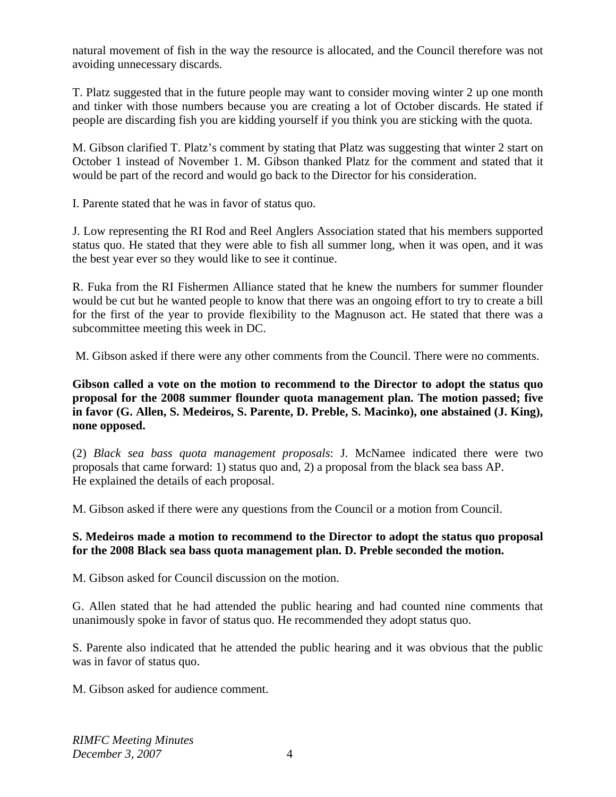natural movement of fish in the way the resource is allocated, and the Council therefore was not avoiding unnecessary discards.

T. Platz suggested that in the future people may want to consider moving winter 2 up one month and tinker with those numbers because you are creating a lot of October discards. He stated if people are discarding fish you are kidding yourself if you think you are sticking with the quota.

M. Gibson clarified T. Platz's comment by stating that Platz was suggesting that winter 2 start on October 1 instead of November 1. M. Gibson thanked Platz for the comment and stated that it would be part of the record and would go back to the Director for his consideration.

I. Parente stated that he was in favor of status quo.

J. Low representing the RI Rod and Reel Anglers Association stated that his members supported status quo. He stated that they were able to fish all summer long, when it was open, and it was the best year ever so they would like to see it continue.

R. Fuka from the RI Fishermen Alliance stated that he knew the numbers for summer flounder would be cut but he wanted people to know that there was an ongoing effort to try to create a bill for the first of the year to provide flexibility to the Magnuson act. He stated that there was a subcommittee meeting this week in DC.

M. Gibson asked if there were any other comments from the Council. There were no comments.

**Gibson called a vote on the motion to recommend to the Director to adopt the status quo proposal for the 2008 summer flounder quota management plan. The motion passed; five in favor (G. Allen, S. Medeiros, S. Parente, D. Preble, S. Macinko), one abstained (J. King), none opposed.**

(2) *Black sea bass quota management proposals*: J. McNamee indicated there were two proposals that came forward: 1) status quo and, 2) a proposal from the black sea bass AP. He explained the details of each proposal.

M. Gibson asked if there were any questions from the Council or a motion from Council.

### **S. Medeiros made a motion to recommend to the Director to adopt the status quo proposal for the 2008 Black sea bass quota management plan. D. Preble seconded the motion.**

M. Gibson asked for Council discussion on the motion.

G. Allen stated that he had attended the public hearing and had counted nine comments that unanimously spoke in favor of status quo. He recommended they adopt status quo.

S. Parente also indicated that he attended the public hearing and it was obvious that the public was in favor of status quo.

M. Gibson asked for audience comment.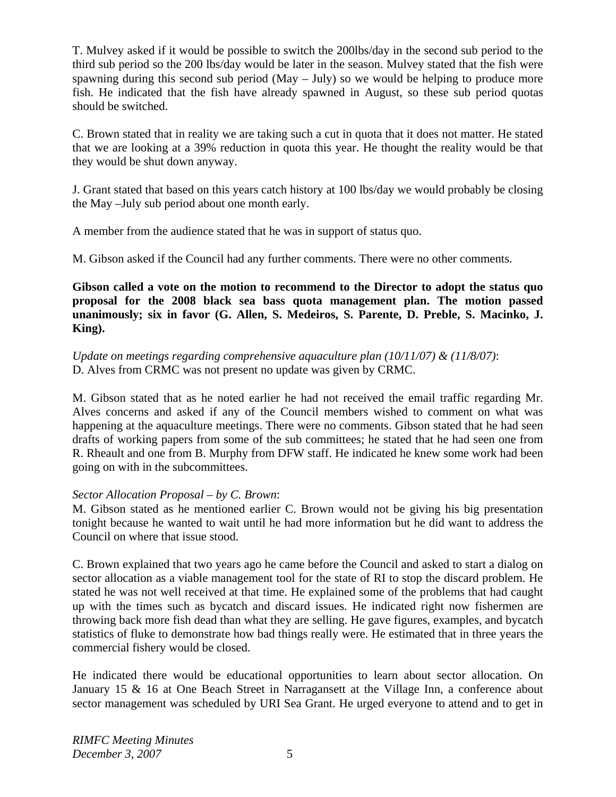T. Mulvey asked if it would be possible to switch the 200lbs/day in the second sub period to the third sub period so the 200 lbs/day would be later in the season. Mulvey stated that the fish were spawning during this second sub period (May – July) so we would be helping to produce more fish. He indicated that the fish have already spawned in August, so these sub period quotas should be switched.

C. Brown stated that in reality we are taking such a cut in quota that it does not matter. He stated that we are looking at a 39% reduction in quota this year. He thought the reality would be that they would be shut down anyway.

J. Grant stated that based on this years catch history at 100 lbs/day we would probably be closing the May –July sub period about one month early.

A member from the audience stated that he was in support of status quo.

M. Gibson asked if the Council had any further comments. There were no other comments.

**Gibson called a vote on the motion to recommend to the Director to adopt the status quo proposal for the 2008 black sea bass quota management plan. The motion passed unanimously; six in favor (G. Allen, S. Medeiros, S. Parente, D. Preble, S. Macinko, J. King).** 

*Update on meetings regarding comprehensive aquaculture plan (10/11/07) & (11/8/07)*: D. Alves from CRMC was not present no update was given by CRMC.

M. Gibson stated that as he noted earlier he had not received the email traffic regarding Mr. Alves concerns and asked if any of the Council members wished to comment on what was happening at the aquaculture meetings. There were no comments. Gibson stated that he had seen drafts of working papers from some of the sub committees; he stated that he had seen one from R. Rheault and one from B. Murphy from DFW staff. He indicated he knew some work had been going on with in the subcommittees.

# *Sector Allocation Proposal – by C. Brown*:

M. Gibson stated as he mentioned earlier C. Brown would not be giving his big presentation tonight because he wanted to wait until he had more information but he did want to address the Council on where that issue stood.

C. Brown explained that two years ago he came before the Council and asked to start a dialog on sector allocation as a viable management tool for the state of RI to stop the discard problem. He stated he was not well received at that time. He explained some of the problems that had caught up with the times such as bycatch and discard issues. He indicated right now fishermen are throwing back more fish dead than what they are selling. He gave figures, examples, and bycatch statistics of fluke to demonstrate how bad things really were. He estimated that in three years the commercial fishery would be closed.

He indicated there would be educational opportunities to learn about sector allocation. On January 15 & 16 at One Beach Street in Narragansett at the Village Inn, a conference about sector management was scheduled by URI Sea Grant. He urged everyone to attend and to get in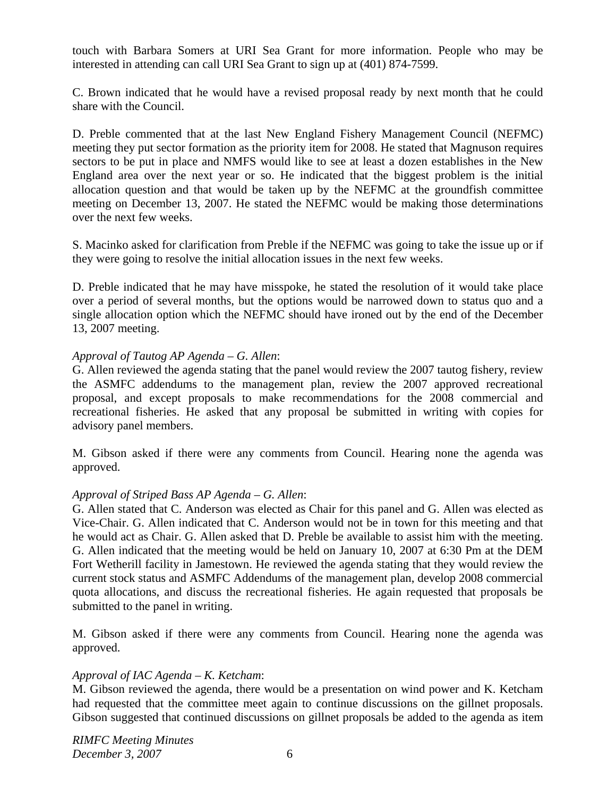touch with Barbara Somers at URI Sea Grant for more information. People who may be interested in attending can call URI Sea Grant to sign up at (401) 874-7599.

C. Brown indicated that he would have a revised proposal ready by next month that he could share with the Council.

D. Preble commented that at the last New England Fishery Management Council (NEFMC) meeting they put sector formation as the priority item for 2008. He stated that Magnuson requires sectors to be put in place and NMFS would like to see at least a dozen establishes in the New England area over the next year or so. He indicated that the biggest problem is the initial allocation question and that would be taken up by the NEFMC at the groundfish committee meeting on December 13, 2007. He stated the NEFMC would be making those determinations over the next few weeks.

S. Macinko asked for clarification from Preble if the NEFMC was going to take the issue up or if they were going to resolve the initial allocation issues in the next few weeks.

D. Preble indicated that he may have misspoke, he stated the resolution of it would take place over a period of several months, but the options would be narrowed down to status quo and a single allocation option which the NEFMC should have ironed out by the end of the December 13, 2007 meeting.

### *Approval of Tautog AP Agenda – G. Allen*:

G. Allen reviewed the agenda stating that the panel would review the 2007 tautog fishery, review the ASMFC addendums to the management plan, review the 2007 approved recreational proposal, and except proposals to make recommendations for the 2008 commercial and recreational fisheries. He asked that any proposal be submitted in writing with copies for advisory panel members.

M. Gibson asked if there were any comments from Council. Hearing none the agenda was approved.

#### *Approval of Striped Bass AP Agenda – G. Allen*:

G. Allen stated that C. Anderson was elected as Chair for this panel and G. Allen was elected as Vice-Chair. G. Allen indicated that C. Anderson would not be in town for this meeting and that he would act as Chair. G. Allen asked that D. Preble be available to assist him with the meeting. G. Allen indicated that the meeting would be held on January 10, 2007 at 6:30 Pm at the DEM Fort Wetherill facility in Jamestown. He reviewed the agenda stating that they would review the current stock status and ASMFC Addendums of the management plan, develop 2008 commercial quota allocations, and discuss the recreational fisheries. He again requested that proposals be submitted to the panel in writing.

M. Gibson asked if there were any comments from Council. Hearing none the agenda was approved.

#### *Approval of IAC Agenda – K. Ketcham*:

M. Gibson reviewed the agenda, there would be a presentation on wind power and K. Ketcham had requested that the committee meet again to continue discussions on the gillnet proposals. Gibson suggested that continued discussions on gillnet proposals be added to the agenda as item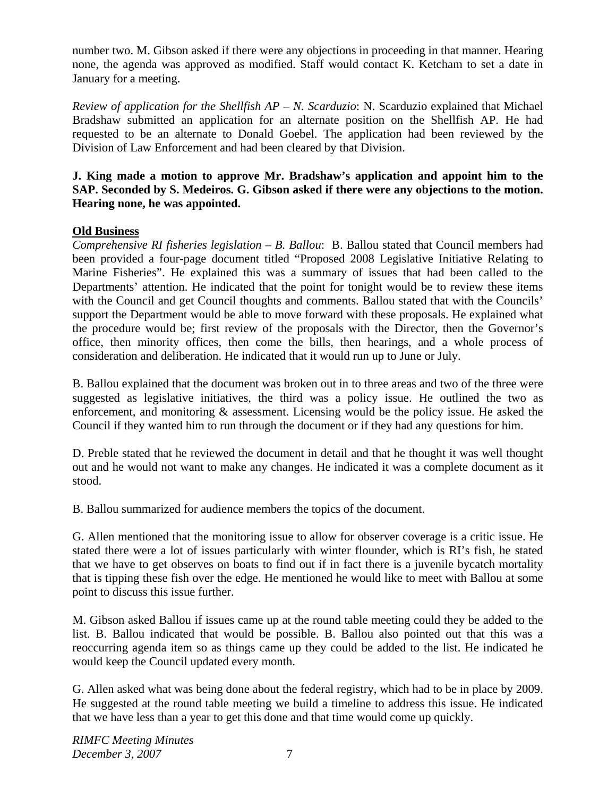number two. M. Gibson asked if there were any objections in proceeding in that manner. Hearing none, the agenda was approved as modified. Staff would contact K. Ketcham to set a date in January for a meeting.

*Review of application for the Shellfish AP – N. Scarduzio*: N. Scarduzio explained that Michael Bradshaw submitted an application for an alternate position on the Shellfish AP. He had requested to be an alternate to Donald Goebel. The application had been reviewed by the Division of Law Enforcement and had been cleared by that Division.

# **J. King made a motion to approve Mr. Bradshaw's application and appoint him to the SAP. Seconded by S. Medeiros. G. Gibson asked if there were any objections to the motion. Hearing none, he was appointed.**

# **Old Business**

*Comprehensive RI fisheries legislation – B. Ballou*: B. Ballou stated that Council members had been provided a four-page document titled "Proposed 2008 Legislative Initiative Relating to Marine Fisheries". He explained this was a summary of issues that had been called to the Departments' attention. He indicated that the point for tonight would be to review these items with the Council and get Council thoughts and comments. Ballou stated that with the Councils' support the Department would be able to move forward with these proposals. He explained what the procedure would be; first review of the proposals with the Director, then the Governor's office, then minority offices, then come the bills, then hearings, and a whole process of consideration and deliberation. He indicated that it would run up to June or July.

B. Ballou explained that the document was broken out in to three areas and two of the three were suggested as legislative initiatives, the third was a policy issue. He outlined the two as enforcement, and monitoring & assessment. Licensing would be the policy issue. He asked the Council if they wanted him to run through the document or if they had any questions for him.

D. Preble stated that he reviewed the document in detail and that he thought it was well thought out and he would not want to make any changes. He indicated it was a complete document as it stood.

B. Ballou summarized for audience members the topics of the document.

G. Allen mentioned that the monitoring issue to allow for observer coverage is a critic issue. He stated there were a lot of issues particularly with winter flounder, which is RI's fish, he stated that we have to get observes on boats to find out if in fact there is a juvenile bycatch mortality that is tipping these fish over the edge. He mentioned he would like to meet with Ballou at some point to discuss this issue further.

M. Gibson asked Ballou if issues came up at the round table meeting could they be added to the list. B. Ballou indicated that would be possible. B. Ballou also pointed out that this was a reoccurring agenda item so as things came up they could be added to the list. He indicated he would keep the Council updated every month.

G. Allen asked what was being done about the federal registry, which had to be in place by 2009. He suggested at the round table meeting we build a timeline to address this issue. He indicated that we have less than a year to get this done and that time would come up quickly.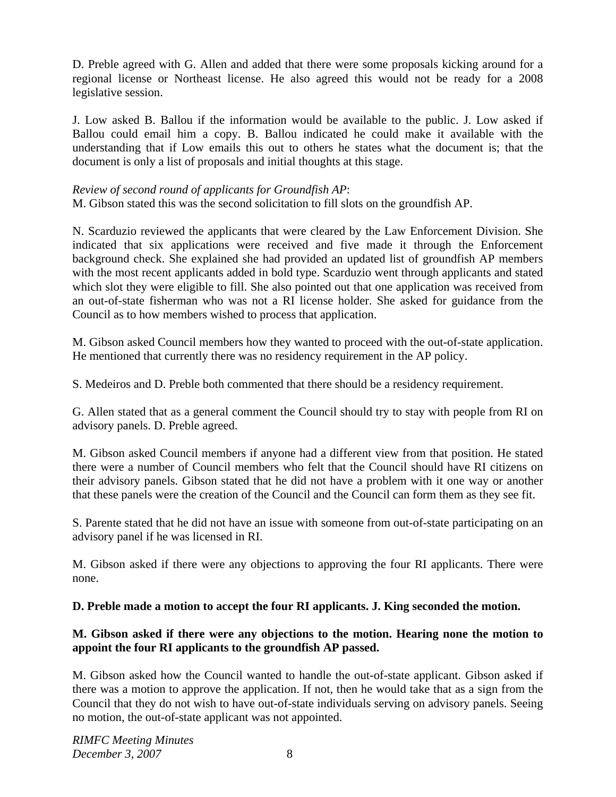D. Preble agreed with G. Allen and added that there were some proposals kicking around for a regional license or Northeast license. He also agreed this would not be ready for a 2008 legislative session.

J. Low asked B. Ballou if the information would be available to the public. J. Low asked if Ballou could email him a copy. B. Ballou indicated he could make it available with the understanding that if Low emails this out to others he states what the document is; that the document is only a list of proposals and initial thoughts at this stage.

### *Review of second round of applicants for Groundfish AP*:

M. Gibson stated this was the second solicitation to fill slots on the groundfish AP.

N. Scarduzio reviewed the applicants that were cleared by the Law Enforcement Division. She indicated that six applications were received and five made it through the Enforcement background check. She explained she had provided an updated list of groundfish AP members with the most recent applicants added in bold type. Scarduzio went through applicants and stated which slot they were eligible to fill. She also pointed out that one application was received from an out-of-state fisherman who was not a RI license holder. She asked for guidance from the Council as to how members wished to process that application.

M. Gibson asked Council members how they wanted to proceed with the out-of-state application. He mentioned that currently there was no residency requirement in the AP policy.

S. Medeiros and D. Preble both commented that there should be a residency requirement.

G. Allen stated that as a general comment the Council should try to stay with people from RI on advisory panels. D. Preble agreed.

M. Gibson asked Council members if anyone had a different view from that position. He stated there were a number of Council members who felt that the Council should have RI citizens on their advisory panels. Gibson stated that he did not have a problem with it one way or another that these panels were the creation of the Council and the Council can form them as they see fit.

S. Parente stated that he did not have an issue with someone from out-of-state participating on an advisory panel if he was licensed in RI.

M. Gibson asked if there were any objections to approving the four RI applicants. There were none.

#### **D. Preble made a motion to accept the four RI applicants. J. King seconded the motion.**

# **M. Gibson asked if there were any objections to the motion. Hearing none the motion to appoint the four RI applicants to the groundfish AP passed.**

M. Gibson asked how the Council wanted to handle the out-of-state applicant. Gibson asked if there was a motion to approve the application. If not, then he would take that as a sign from the Council that they do not wish to have out-of-state individuals serving on advisory panels. Seeing no motion, the out-of-state applicant was not appointed.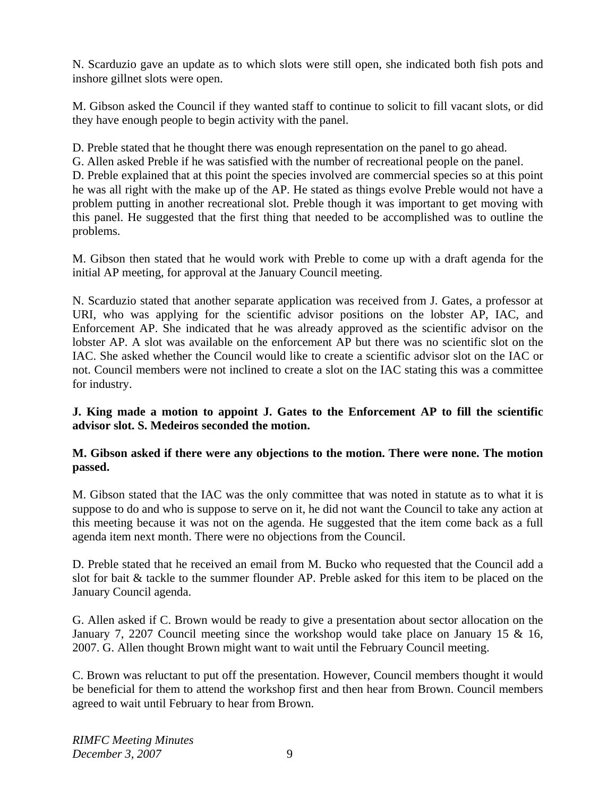N. Scarduzio gave an update as to which slots were still open, she indicated both fish pots and inshore gillnet slots were open.

M. Gibson asked the Council if they wanted staff to continue to solicit to fill vacant slots, or did they have enough people to begin activity with the panel.

D. Preble stated that he thought there was enough representation on the panel to go ahead.

G. Allen asked Preble if he was satisfied with the number of recreational people on the panel.

D. Preble explained that at this point the species involved are commercial species so at this point he was all right with the make up of the AP. He stated as things evolve Preble would not have a problem putting in another recreational slot. Preble though it was important to get moving with this panel. He suggested that the first thing that needed to be accomplished was to outline the problems.

M. Gibson then stated that he would work with Preble to come up with a draft agenda for the initial AP meeting, for approval at the January Council meeting.

N. Scarduzio stated that another separate application was received from J. Gates, a professor at URI, who was applying for the scientific advisor positions on the lobster AP, IAC, and Enforcement AP. She indicated that he was already approved as the scientific advisor on the lobster AP. A slot was available on the enforcement AP but there was no scientific slot on the IAC. She asked whether the Council would like to create a scientific advisor slot on the IAC or not. Council members were not inclined to create a slot on the IAC stating this was a committee for industry.

# **J. King made a motion to appoint J. Gates to the Enforcement AP to fill the scientific advisor slot. S. Medeiros seconded the motion.**

# **M. Gibson asked if there were any objections to the motion. There were none. The motion passed.**

M. Gibson stated that the IAC was the only committee that was noted in statute as to what it is suppose to do and who is suppose to serve on it, he did not want the Council to take any action at this meeting because it was not on the agenda. He suggested that the item come back as a full agenda item next month. There were no objections from the Council.

D. Preble stated that he received an email from M. Bucko who requested that the Council add a slot for bait & tackle to the summer flounder AP. Preble asked for this item to be placed on the January Council agenda.

G. Allen asked if C. Brown would be ready to give a presentation about sector allocation on the January 7, 2207 Council meeting since the workshop would take place on January 15 & 16, 2007. G. Allen thought Brown might want to wait until the February Council meeting.

C. Brown was reluctant to put off the presentation. However, Council members thought it would be beneficial for them to attend the workshop first and then hear from Brown. Council members agreed to wait until February to hear from Brown.